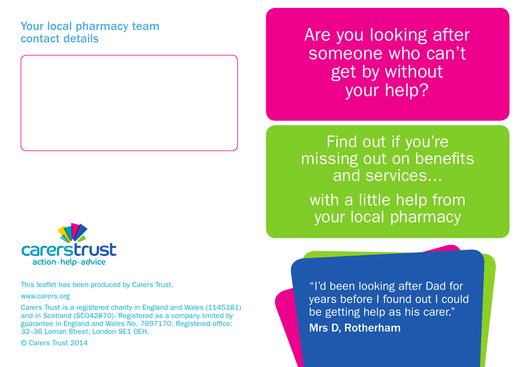## Your local pharmacy team contact details





This leaflet has been produced by Carers Trust.

www.carers.org

Carers Trust is a registered charity in England and Wales (1145181) and in Scotland (SC042870). Registered as a company limited by guarantee in England and Wales No. 7697170. Registered office: 32–36 Loman Street, London SE1 0EH.

© Carers Trust 2014

Are you looking after someone who can't get by without your help?

Find out if you're missing out on benefits and services... with a little help from

your local pharmacy

"I'd been looking after Dad for years before I found out I could be getting help as his carer." Mrs D, Rotherham